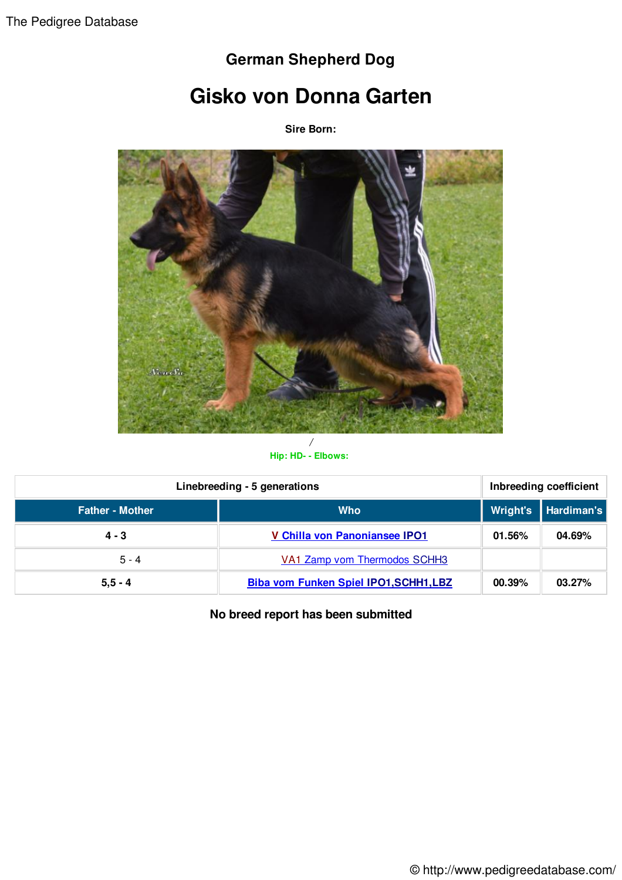## **German Shepherd Dog**

## **Gisko von Donna Garten**

**Sire Born:**



**Hip: HD- - Elbows:**

| Linebreeding - 5 generations |                                               | Inbreeding coefficient |                     |
|------------------------------|-----------------------------------------------|------------------------|---------------------|
| <b>Father - Mother</b>       | <b>Who</b>                                    |                        | Wright's Hardiman's |
| $4 - 3$                      | <b>V Chilla von Panoniansee IPO1</b>          | 01.56%                 | 04.69%              |
| $5 - 4$                      | VA1 Zamp vom Thermodos SCHH3                  |                        |                     |
| $5, 5 - 4$                   | <b>Biba vom Funken Spiel IPO1, SCHH1, LBZ</b> | 00.39%                 | 03.27%              |

**No breed report has been submitted**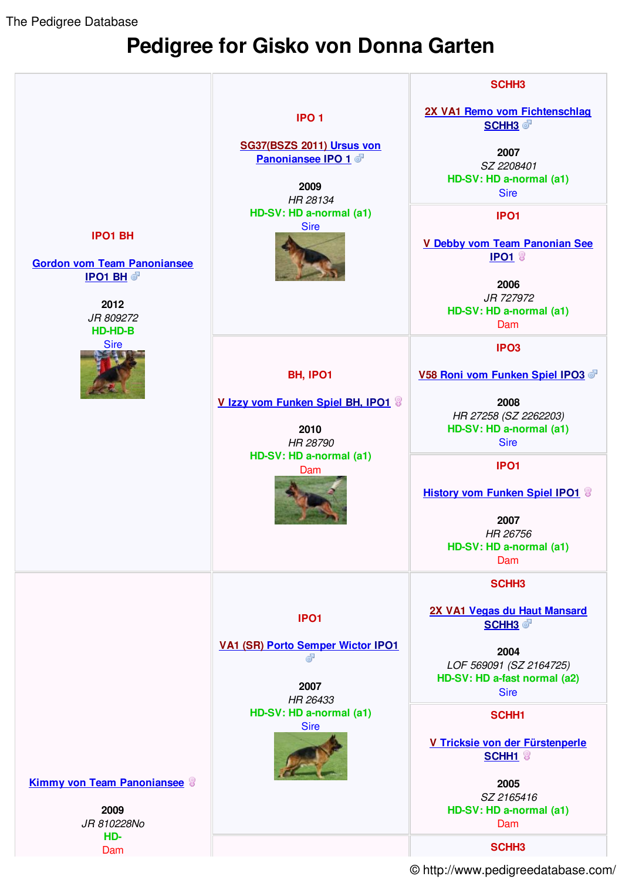The Pedigree Database

## **Pedigree for Gisko von Donna Garten**



© http://www.pedigreedatabase.com/